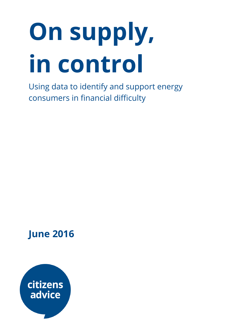# On supply, in control

Using data to identify and support energy consumers in financial difficulty

## June 2016

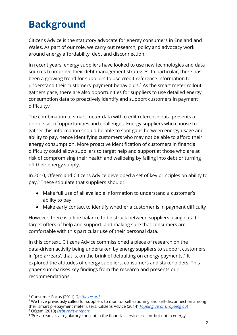# Background

Citizens Advice is the statutory advocate for energy consumers in England and Wales. As part of our role, we carry out research, policy and advocacy work around energy affordability, debt and disconnection.

In recent years, energy suppliers have looked to use new technologies and data sources to improve their debt management strategies. In particular, there has been a growing trend for suppliers to use credit reference information to understand their customers' payment behaviours.<sup>1</sup> As the smart meter rollout gathers pace, there are also opportunities for suppliers to use detailed energy consumption data to proactively identify and support customers in payment difficulty. 2

The combination of smart meter data with credit reference data presents a unique set of opportunities and challenges. Energy suppliers who choose to gather this information should be able to spot gaps between energy usage and ability to pay, hence identifying customers who may not be able to afford their energy consumption. More proactive identification of customers in financial difficulty could allow suppliers to target help and support at those who are at risk of compromising their health and wellbeing by falling into debt or turning off their energy supply.

In 2010, Ofgem and Citizens Advice developed a set of key principles on ability to pay.<sup>3</sup> These stipulate that suppliers should:

- Make full use of all available information to understand a customer's ability to pay
- Make early contact to identify whether a customer is in payment difficulty

However, there is a fine balance to be struck between suppliers using data to target offers of help and support, and making sure that consumers are comfortable with this particular use of their personal data.

In this context, Citizens Advice commissioned a piece of research on the data-driven activity being undertaken by energy suppliers to support customers in 'pre-arrears', that is, on the brink of defaulting on energy payments.<sup>4</sup> It explored the attitudes of energy suppliers, consumers and stakeholders. This paper summarises key findings from the research and presents our recommendations.

<sup>3</sup> Ofgem (2010) *Debt [review](https://www.ofgem.gov.uk/ofgem-publications/57399/open-letter.pdf) report*

<sup>1</sup> Consumer Focus (2011) *On the [record](http://www.infohub.moneyadvicetrust.org/content_files/files/consumer_focus_on_the_record.pdf)*

<sup>&</sup>lt;sup>2</sup> We have previously called for suppliers to monitor self-rationing and self-disconnection among their smart prepayment meter users. Citizens Advice (2014) *Topping up or [Dropping](https://www.citizensadvice.org.uk/Global/Migrated_Documents/corporate/topping-up-or-dropping-out.pdf) out*

<sup>&</sup>lt;sup>4</sup> 'Pre-arrears' is a regulatory concept in the financial services sector but not in energy.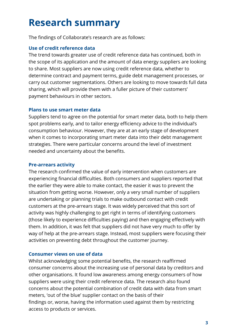## Research summary

The findings of Collaborate's research are as follows:

#### Use of credit reference data

The trend towards greater use of credit reference data has continued, both in the scope of its application and the amount of data energy suppliers are looking to share. Most suppliers are now using credit reference data, whether to determine contract and payment terms, guide debt management processes, or carry out customer segmentations. Others are looking to move towards full data sharing, which will provide them with a fuller picture of their customers' payment behaviours in other sectors.

#### Plans to use smart meter data

Suppliers tend to agree on the potential for smart meter data, both to help them spot problems early, and to tailor energy efficiency advice to the individual's consumption behaviour. However, they are at an early stage of development when it comes to incorporating smart meter data into their debt management strategies. There were particular concerns around the level of investment needed and uncertainty about the benefits.

#### Pre-arrears activity

The research confirmed the value of early intervention when customers are experiencing financial difficulties. Both consumers and suppliers reported that the earlier they were able to make contact, the easier it was to prevent the situation from getting worse. However, only a very small number of suppliers are undertaking or planning trials to make outbound contact with credit customers at the pre-arrears stage. It was widely perceived that this sort of activity was highly challenging to get right in terms of identifying customers (those likely to experience difficulties paying) and then engaging effectively with them. In addition, it was felt that suppliers did not have very much to offer by way of help at the pre-arrears stage. Instead, most suppliers were focusing their activities on preventing debt throughout the customer journey.

#### Consumer views on use of data

Whilst acknowledging some potential benefits, the research reaffirmed consumer concerns about the increasing use of personal data by creditors and other organisations. It found low awareness among energy consumers of how suppliers were using their credit reference data. The research also found concerns about the potential combination of credit data with data from smart meters, 'out of the blue' supplier contact on the basis of their findings or, worse, having the information used against them by restricting access to products or services.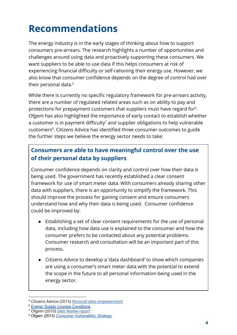# Recommendations

The energy industry is in the early stages of thinking about how to support consumers pre-arrears. The research highlights a number of opportunities and challenges around using data and proactively supporting these consumers. We want suppliers to be able to use data if this helps consumers at risk of experiencing financial difficulty or self-rationing their energy use. However, we also know that consumer confidence depends on the degree of control had over their personal data. 5

While there is currently no specific regulatory framework for pre-arrears activity, there are a number of regulated related areas such as on ability to pay and protections for prepayment customers that suppliers must have regard for<sup>6</sup>. Ofgem has also highlighted the importance of early contact to establish whether a customer is in payment difficulty<sup>7</sup> and supplier obligations to help vulnerable customers<sup>8</sup>. Citizens Advice has identified three consumer outcomes to guide the further steps we believe the energy sector needs to take:

## Consumers are able to have meaningful control over the use of their personal data by suppliers

Consumer confidence depends on clarity and control over how their data is being used. The government has recently established a clear consent framework for use of smart meter data. With consumers already sharing other data with suppliers, there is an opportunity to simplify the framework. This should improve the process for gaining consent and ensure consumers understand how and why their data is being used. Consumer confidence could be improved by:

- Establishing a set of clear consent requirements for the use of personal data, including how data use is explained to the consumer and how the consumer prefers to be contacted about any potential problems. Consumer research and consultation will be an important part of this process.
- Citizens Advice to develop a 'data dashboard' to show which companies are using a consumer's smart meter data with the potential to extend the scope in the future to all personal information being used in the energy sector.

<sup>5</sup> Citizens Advice (2015) *Personal data [empowerment](https://www.citizensadvice.org.uk/Global/Public/Corporate%20content/Publications/Personal%20data%20empowerment%20report.pdf)*

**<sup>6</sup> Energy Supply License [Conditions](https://www.ofgem.gov.uk/licences-codes-and-standards/licences/licence-conditions)** 

<sup>7</sup> Ofgem (2010) *Debt [Review](https://www.ofgem.gov.uk/ofgem-publications/57399/open-letter.pdf) report*

<sup>8</sup> Ofgem (2013) *Consumer [Vulnerability](https://www.ofgem.gov.uk/ofgem-publications/75550/consumer-vulnerability-strategy.pdf) Strategy*